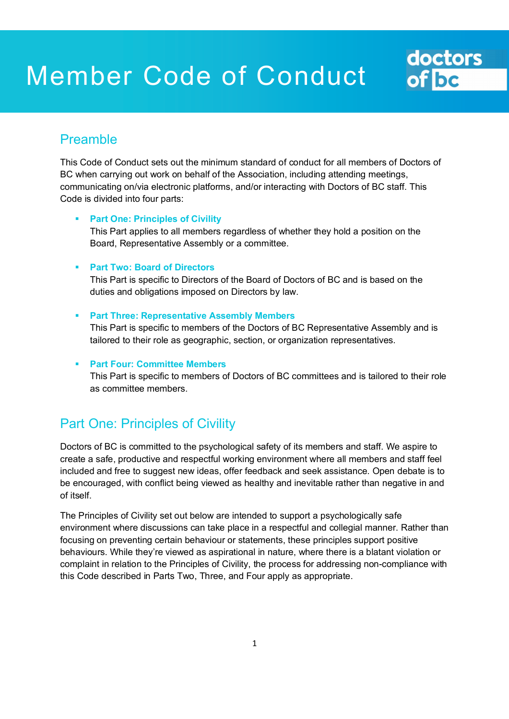# Member Code of Conduct

## Preamble

This Code of Conduct sets out the minimum standard of conduct for all members of Doctors of BC when carrying out work on behalf of the Association, including attending meetings, communicating on/via electronic platforms, and/or interacting with Doctors of BC staff. This Code is divided into four parts:

doctors<br>of be

#### **Part One: Principles of Civility**

This Part applies to all members regardless of whether they hold a position on the Board, Representative Assembly or a committee.

#### **Part Two: Board of Directors**

This Part is specific to Directors of the Board of Doctors of BC and is based on the duties and obligations imposed on Directors by law.

#### **Part Three: Representative Assembly Members**

This Part is specific to members of the Doctors of BC Representative Assembly and is tailored to their role as geographic, section, or organization representatives.

#### **Part Four: Committee Members**

This Part is specific to members of Doctors of BC committees and is tailored to their role as committee members.

## Part One: Principles of Civility

Doctors of BC is committed to the psychological safety of its members and staff. We aspire to create a safe, productive and respectful working environment where all members and staff feel included and free to suggest new ideas, offer feedback and seek assistance. Open debate is to be encouraged, with conflict being viewed as healthy and inevitable rather than negative in and of itself.

The Principles of Civility set out below are intended to support a psychologically safe environment where discussions can take place in a respectful and collegial manner. Rather than focusing on preventing certain behaviour or statements, these principles support positive behaviours. While they're viewed as aspirational in nature, where there is a blatant violation or complaint in relation to the Principles of Civility, the process for addressing non-compliance with this Code described in Parts Two, Three, and Four apply as appropriate.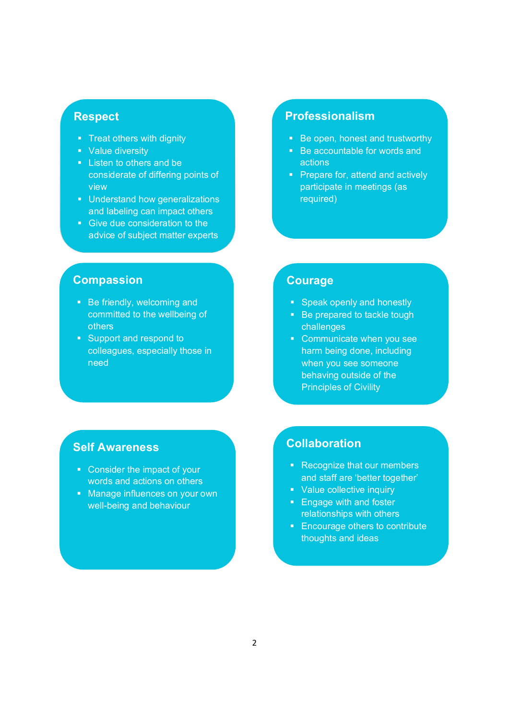#### **Respect**

- Treat others with dignity
- Value diversity
- **Listen to others and be** considerate of differing points of view
- **Understand how generalizations** and labeling can impact others
- Give due consideration to the advice of subject matter experts

## **Professionalism**

- Be open, honest and trustworthy
- Be accountable for words and actions
- **Prepare for, attend and actively** participate in meetings (as required)

## **Compassion**

- Be friendly, welcoming and committed to the wellbeing of others
- **Support and respond to** colleagues, especially those in need

### **Courage**

- **Speak openly and honestly**
- Be prepared to tackle tough challenges
- Communicate when you see harm being done, including when you see someone behaving outside of the Principles of Civility

## **Self Awareness**

- Consider the impact of your words and actions on others
- **Manage influences on your own** well-being and behaviour

#### **Collaboration**

- Recognize that our members and staff are 'better together'
- Value collective inquiry
- **Engage with and foster** relationships with others
- **Encourage others to contribute** thoughts and ideas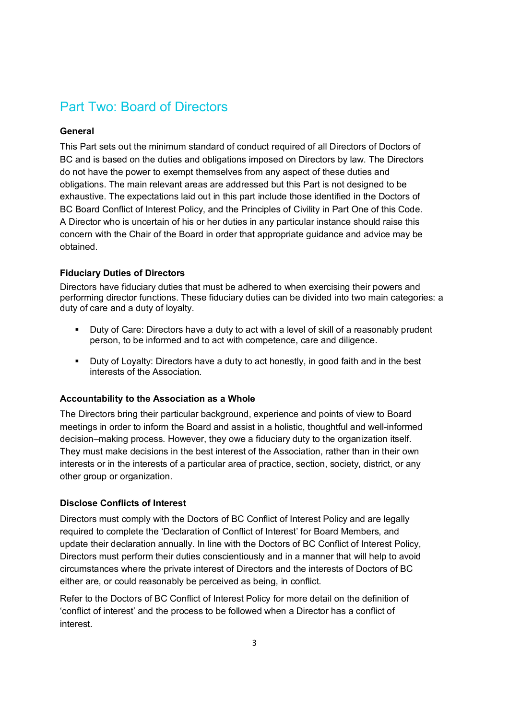## Part Two: Board of Directors

#### **General**

This Part sets out the minimum standard of conduct required of all Directors of Doctors of BC and is based on the duties and obligations imposed on Directors by law. The Directors do not have the power to exempt themselves from any aspect of these duties and obligations. The main relevant areas are addressed but this Part is not designed to be exhaustive. The expectations laid out in this part include those identified in the Doctors of BC Board Conflict of Interest Policy, and the Principles of Civility in Part One of this Code. A Director who is uncertain of his or her duties in any particular instance should raise this concern with the Chair of the Board in order that appropriate guidance and advice may be obtained.

#### **Fiduciary Duties of Directors**

Directors have fiduciary duties that must be adhered to when exercising their powers and performing director functions. These fiduciary duties can be divided into two main categories: a duty of care and a duty of loyalty.

- Duty of Care: Directors have a duty to act with a level of skill of a reasonably prudent person, to be informed and to act with competence, care and diligence.
- **Duty of Loyalty: Directors have a duty to act honestly, in good faith and in the best** interests of the Association.

#### **Accountability to the Association as a Whole**

The Directors bring their particular background, experience and points of view to Board meetings in order to inform the Board and assist in a holistic, thoughtful and well-informed decision–making process. However, they owe a fiduciary duty to the organization itself. They must make decisions in the best interest of the Association, rather than in their own interests or in the interests of a particular area of practice, section, society, district, or any other group or organization.

#### **Disclose Conflicts of Interest**

Directors must comply with the Doctors of BC Conflict of Interest Policy and are legally required to complete the 'Declaration of Conflict of Interest' for Board Members, and update their declaration annually. In line with the Doctors of BC Conflict of Interest Policy, Directors must perform their duties conscientiously and in a manner that will help to avoid circumstances where the private interest of Directors and the interests of Doctors of BC either are, or could reasonably be perceived as being, in conflict.

Refer to the Doctors of BC Conflict of Interest Policy for more detail on the definition of 'conflict of interest' and the process to be followed when a Director has a conflict of interest.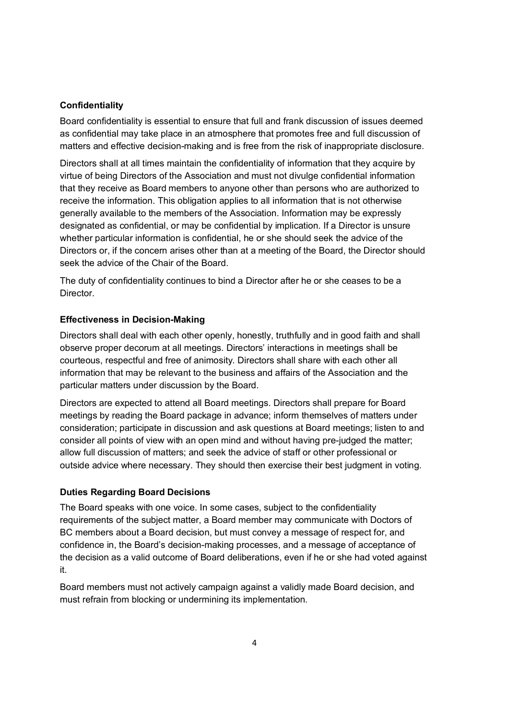#### **Confidentiality**

Board confidentiality is essential to ensure that full and frank discussion of issues deemed as confidential may take place in an atmosphere that promotes free and full discussion of matters and effective decision-making and is free from the risk of inappropriate disclosure.

Directors shall at all times maintain the confidentiality of information that they acquire by virtue of being Directors of the Association and must not divulge confidential information that they receive as Board members to anyone other than persons who are authorized to receive the information. This obligation applies to all information that is not otherwise generally available to the members of the Association. Information may be expressly designated as confidential, or may be confidential by implication. If a Director is unsure whether particular information is confidential, he or she should seek the advice of the Directors or, if the concern arises other than at a meeting of the Board, the Director should seek the advice of the Chair of the Board.

The duty of confidentiality continues to bind a Director after he or she ceases to be a Director.

#### **Effectiveness in Decision-Making**

Directors shall deal with each other openly, honestly, truthfully and in good faith and shall observe proper decorum at all meetings. Directors' interactions in meetings shall be courteous, respectful and free of animosity. Directors shall share with each other all information that may be relevant to the business and affairs of the Association and the particular matters under discussion by the Board.

Directors are expected to attend all Board meetings. Directors shall prepare for Board meetings by reading the Board package in advance; inform themselves of matters under consideration; participate in discussion and ask questions at Board meetings; listen to and consider all points of view with an open mind and without having pre-judged the matter; allow full discussion of matters; and seek the advice of staff or other professional or outside advice where necessary. They should then exercise their best judgment in voting.

#### **Duties Regarding Board Decisions**

The Board speaks with one voice. In some cases, subject to the confidentiality requirements of the subject matter, a Board member may communicate with Doctors of BC members about a Board decision, but must convey a message of respect for, and confidence in, the Board's decision-making processes, and a message of acceptance of the decision as a valid outcome of Board deliberations, even if he or she had voted against it.

Board members must not actively campaign against a validly made Board decision, and must refrain from blocking or undermining its implementation.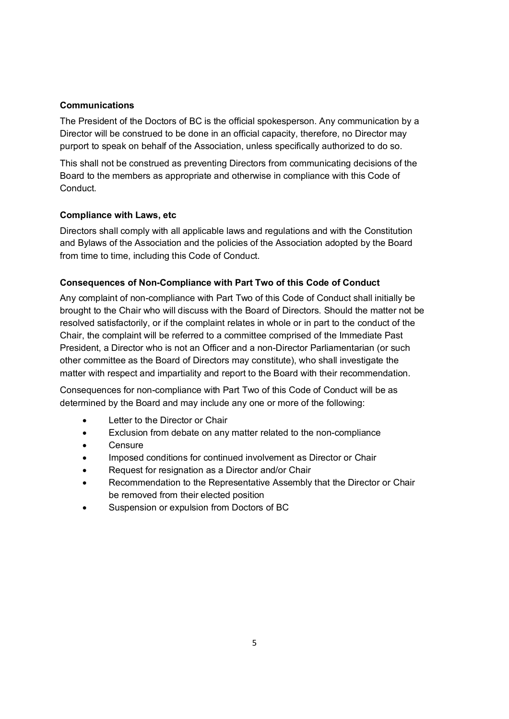#### **Communications**

The President of the Doctors of BC is the official spokesperson. Any communication by a Director will be construed to be done in an official capacity, therefore, no Director may purport to speak on behalf of the Association, unless specifically authorized to do so.

This shall not be construed as preventing Directors from communicating decisions of the Board to the members as appropriate and otherwise in compliance with this Code of Conduct.

#### **Compliance with Laws, etc**

Directors shall comply with all applicable laws and regulations and with the Constitution and Bylaws of the Association and the policies of the Association adopted by the Board from time to time, including this Code of Conduct.

#### **Consequences of Non-Compliance with Part Two of this Code of Conduct**

Any complaint of non-compliance with Part Two of this Code of Conduct shall initially be brought to the Chair who will discuss with the Board of Directors. Should the matter not be resolved satisfactorily, or if the complaint relates in whole or in part to the conduct of the Chair, the complaint will be referred to a committee comprised of the Immediate Past President, a Director who is not an Officer and a non-Director Parliamentarian (or such other committee as the Board of Directors may constitute), who shall investigate the matter with respect and impartiality and report to the Board with their recommendation.

Consequences for non-compliance with Part Two of this Code of Conduct will be as determined by the Board and may include any one or more of the following:

- **.** Letter to the Director or Chair
- Exclusion from debate on any matter related to the non-compliance
- **Censure**
- Imposed conditions for continued involvement as Director or Chair
- Request for resignation as a Director and/or Chair
- Recommendation to the Representative Assembly that the Director or Chair be removed from their elected position
- Suspension or expulsion from Doctors of BC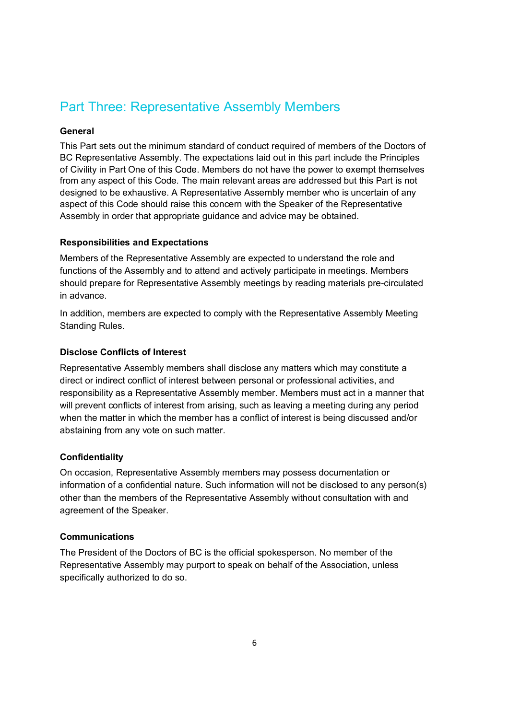## Part Three: Representative Assembly Members

#### **General**

This Part sets out the minimum standard of conduct required of members of the Doctors of BC Representative Assembly. The expectations laid out in this part include the Principles of Civility in Part One of this Code. Members do not have the power to exempt themselves from any aspect of this Code. The main relevant areas are addressed but this Part is not designed to be exhaustive. A Representative Assembly member who is uncertain of any aspect of this Code should raise this concern with the Speaker of the Representative Assembly in order that appropriate guidance and advice may be obtained.

#### **Responsibilities and Expectations**

Members of the Representative Assembly are expected to understand the role and functions of the Assembly and to attend and actively participate in meetings. Members should prepare for Representative Assembly meetings by reading materials pre-circulated in advance.

In addition, members are expected to comply with the Representative Assembly Meeting Standing Rules.

#### **Disclose Conflicts of Interest**

Representative Assembly members shall disclose any matters which may constitute a direct or indirect conflict of interest between personal or professional activities, and responsibility as a Representative Assembly member. Members must act in a manner that will prevent conflicts of interest from arising, such as leaving a meeting during any period when the matter in which the member has a conflict of interest is being discussed and/or abstaining from any vote on such matter.

#### **Confidentiality**

On occasion, Representative Assembly members may possess documentation or information of a confidential nature. Such information will not be disclosed to any person(s) other than the members of the Representative Assembly without consultation with and agreement of the Speaker.

#### **Communications**

The President of the Doctors of BC is the official spokesperson. No member of the Representative Assembly may purport to speak on behalf of the Association, unless specifically authorized to do so.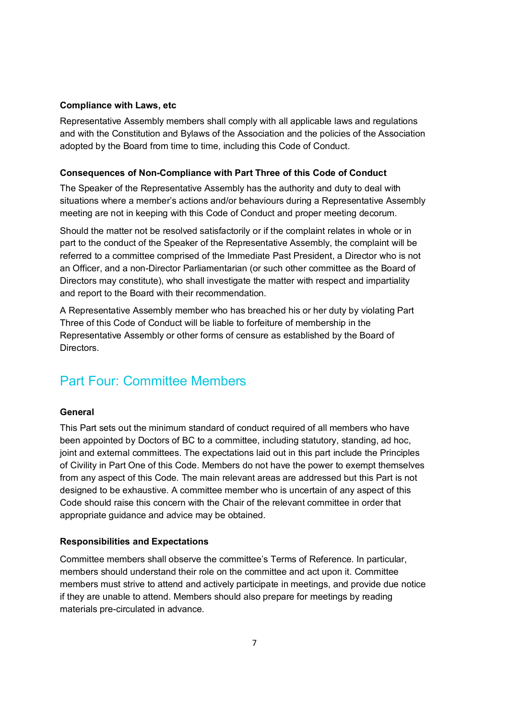#### **Compliance with Laws, etc**

Representative Assembly members shall comply with all applicable laws and regulations and with the Constitution and Bylaws of the Association and the policies of the Association adopted by the Board from time to time, including this Code of Conduct.

#### **Consequences of Non-Compliance with Part Three of this Code of Conduct**

The Speaker of the Representative Assembly has the authority and duty to deal with situations where a member's actions and/or behaviours during a Representative Assembly meeting are not in keeping with this Code of Conduct and proper meeting decorum.

Should the matter not be resolved satisfactorily or if the complaint relates in whole or in part to the conduct of the Speaker of the Representative Assembly, the complaint will be referred to a committee comprised of the Immediate Past President, a Director who is not an Officer, and a non-Director Parliamentarian (or such other committee as the Board of Directors may constitute), who shall investigate the matter with respect and impartiality and report to the Board with their recommendation.

A Representative Assembly member who has breached his or her duty by violating Part Three of this Code of Conduct will be liable to forfeiture of membership in the Representative Assembly or other forms of censure as established by the Board of Directors.

## Part Four: Committee Members

#### **General**

This Part sets out the minimum standard of conduct required of all members who have been appointed by Doctors of BC to a committee, including statutory, standing, ad hoc, joint and external committees. The expectations laid out in this part include the Principles of Civility in Part One of this Code. Members do not have the power to exempt themselves from any aspect of this Code. The main relevant areas are addressed but this Part is not designed to be exhaustive. A committee member who is uncertain of any aspect of this Code should raise this concern with the Chair of the relevant committee in order that appropriate guidance and advice may be obtained.

#### **Responsibilities and Expectations**

Committee members shall observe the committee's Terms of Reference. In particular, members should understand their role on the committee and act upon it. Committee members must strive to attend and actively participate in meetings, and provide due notice if they are unable to attend. Members should also prepare for meetings by reading materials pre-circulated in advance.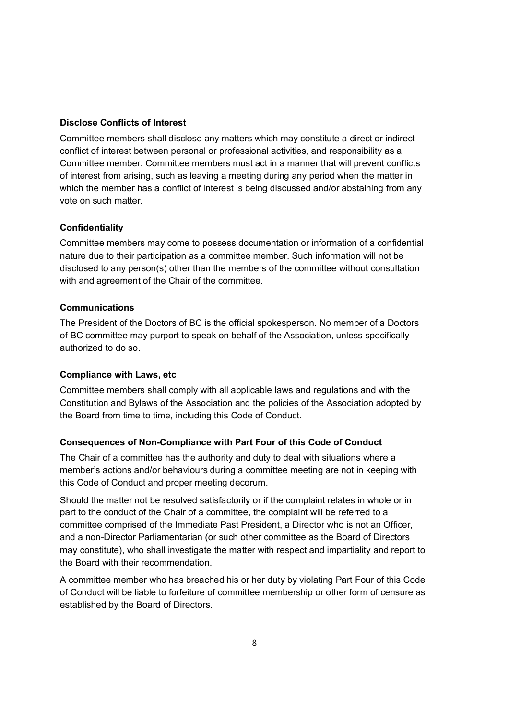#### **Disclose Conflicts of Interest**

Committee members shall disclose any matters which may constitute a direct or indirect conflict of interest between personal or professional activities, and responsibility as a Committee member. Committee members must act in a manner that will prevent conflicts of interest from arising, such as leaving a meeting during any period when the matter in which the member has a conflict of interest is being discussed and/or abstaining from any vote on such matter.

#### **Confidentiality**

Committee members may come to possess documentation or information of a confidential nature due to their participation as a committee member. Such information will not be disclosed to any person(s) other than the members of the committee without consultation with and agreement of the Chair of the committee.

#### **Communications**

The President of the Doctors of BC is the official spokesperson. No member of a Doctors of BC committee may purport to speak on behalf of the Association, unless specifically authorized to do so.

#### **Compliance with Laws, etc**

Committee members shall comply with all applicable laws and regulations and with the Constitution and Bylaws of the Association and the policies of the Association adopted by the Board from time to time, including this Code of Conduct.

#### **Consequences of Non-Compliance with Part Four of this Code of Conduct**

The Chair of a committee has the authority and duty to deal with situations where a member's actions and/or behaviours during a committee meeting are not in keeping with this Code of Conduct and proper meeting decorum.

Should the matter not be resolved satisfactorily or if the complaint relates in whole or in part to the conduct of the Chair of a committee, the complaint will be referred to a committee comprised of the Immediate Past President, a Director who is not an Officer, and a non-Director Parliamentarian (or such other committee as the Board of Directors may constitute), who shall investigate the matter with respect and impartiality and report to the Board with their recommendation.

A committee member who has breached his or her duty by violating Part Four of this Code of Conduct will be liable to forfeiture of committee membership or other form of censure as established by the Board of Directors.